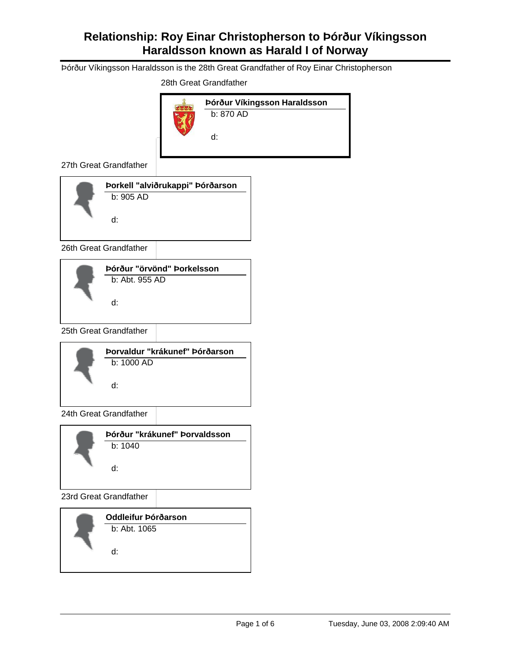Þórður Víkingsson Haraldsson is the 28th Great Grandfather of Roy Einar Christopherson

28th Great Grandfather



27th Great Grandfather



26th Great Grandfather



25th Great Grandfather



24th Great Grandfather

| Þórður "krákunef" Þorvaldsson |
|-------------------------------|
| b: 1040                       |
| d:                            |

23rd Great Grandfather

| Oddleifur Þórðarson |
|---------------------|
| $b:$ Abt. 1065      |
| ų.                  |
|                     |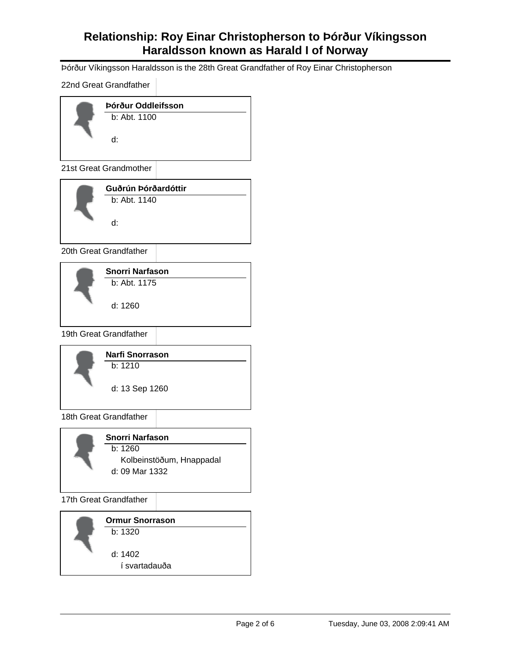Þórður Víkingsson Haraldsson is the 28th Great Grandfather of Roy Einar Christopherson

22nd Great Grandfather



21st Great Grandmother

| Guðrún Þórðardóttir |
|---------------------|
| b: Abt. 1140<br>ų.  |
|                     |

20th Great Grandfather



19th Great Grandfather



18th Great Grandfather

| Snorri Narfason          |
|--------------------------|
| b: 1260                  |
| Kolbeinstöðum, Hnappadal |
| d: 09 Mar 1332           |
|                          |

17th Great Grandfather

| <b>Ormur Snorrason</b> |
|------------------------|
| b: 1320                |
| d: 1402                |
| í svartadauða          |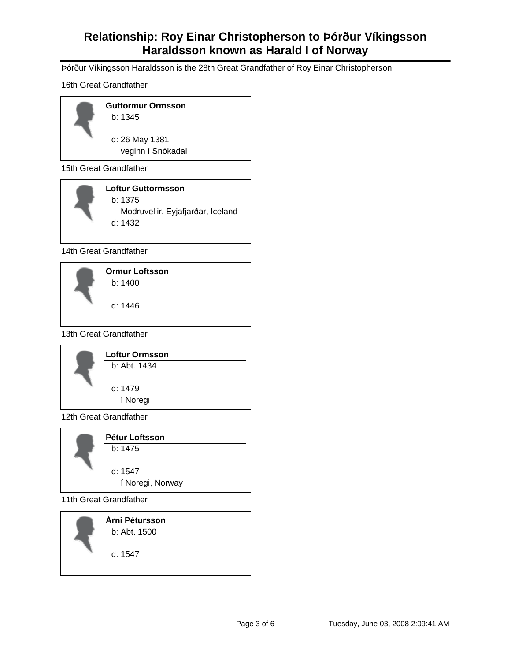Þórður Víkingsson Haraldsson is the 28th Great Grandfather of Roy Einar Christopherson

16th Great Grandfather

| <b>Guttormur Ormsson</b> |                |
|--------------------------|----------------|
| b: 1345                  |                |
|                          |                |
|                          |                |
| veginn í Snókadal        |                |
|                          | d: 26 May 1381 |

15th Great Grandfather

| <b>Loftur Guttormsson</b>                      |
|------------------------------------------------|
| b: 1375                                        |
| Modruvellir, Eyjafjarðar, Iceland<br>d: $1432$ |

14th Great Grandfather

| <b>Ormur Loftsson</b> |  |
|-----------------------|--|
| b: 1400               |  |
| d: 1446               |  |
|                       |  |

13th Great Grandfather



12th Great Grandfather

| Pétur Loftsson   |  |
|------------------|--|
| b: 1475          |  |
| d: 1547          |  |
| í Noregi, Norway |  |
|                  |  |

11th Great Grandfather

**Árni Pétursson** b: Abt. 1500

1547 d: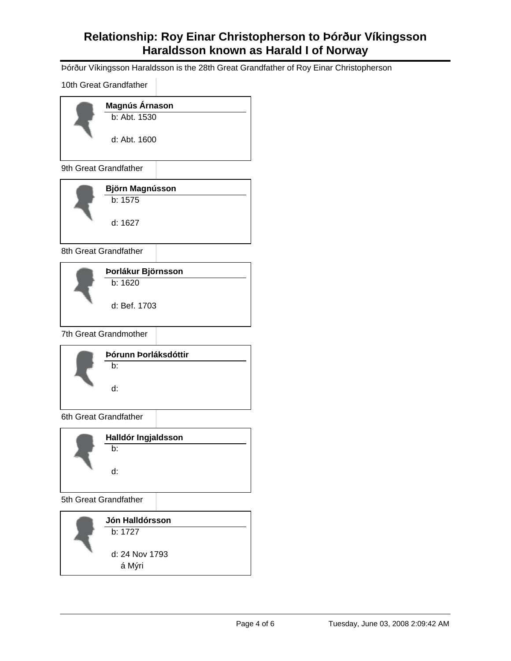Þórður Víkingsson Haraldsson is the 28th Great Grandfather of Roy Einar Christopherson

10th Great Grandfather



9th Great Grandfather

|  | <b>Björn Magnússon</b> |
|--|------------------------|
|  | b: 1575                |
|  | d: 1627                |

8th Great Grandfather

| Þorlákur Björnsson |  |
|--------------------|--|
| b: 1620            |  |
| d: Bef. 1703       |  |
|                    |  |

7th Great Grandmother



6th Great Grandfather

| Halldór Ingjaldsson |  |
|---------------------|--|
| h٠                  |  |
| ų.                  |  |

5th Great Grandfather

**Jón Halldórsson** 24 Nov 1793 d: b: 1727 á Mýri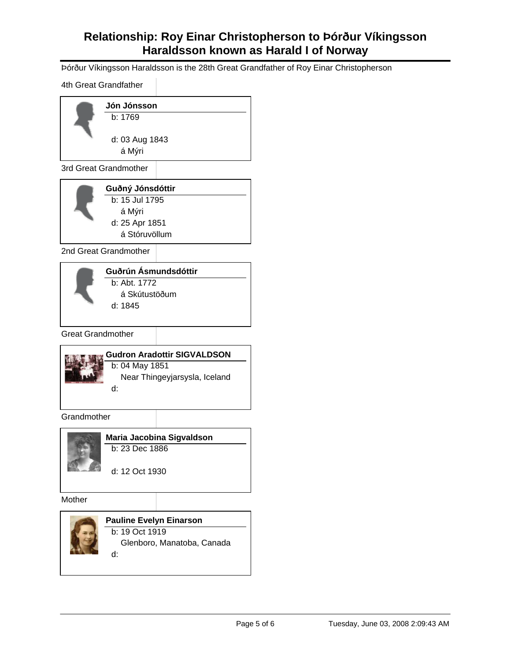Þórður Víkingsson Haraldsson is the 28th Great Grandfather of Roy Einar Christopherson

4th Great Grandfather

| Jón Jónsson    |
|----------------|
| b: 1769        |
| d: 03 Aug 1843 |
| á Mýri         |

3rd Great Grandmother

| Guðný Jónsdóttir |  |
|------------------|--|
| b: 15 Jul 1795   |  |
| á Mýri           |  |
| d: 25 Apr 1851   |  |
| á Stóruvöllum    |  |
|                  |  |

2nd Great Grandmother



Great Grandmother

| <b>Gudron Aradottir SIGVALDSON</b> |
|------------------------------------|
| b: 04 May 1851                     |
| Near Thingeyjarsysla, Iceland      |
| ų.                                 |
|                                    |

**Grandmother** 



**Maria Jacobina Sigvaldson** b: 23 Dec 1886

12 Oct 1930 d:

Mother